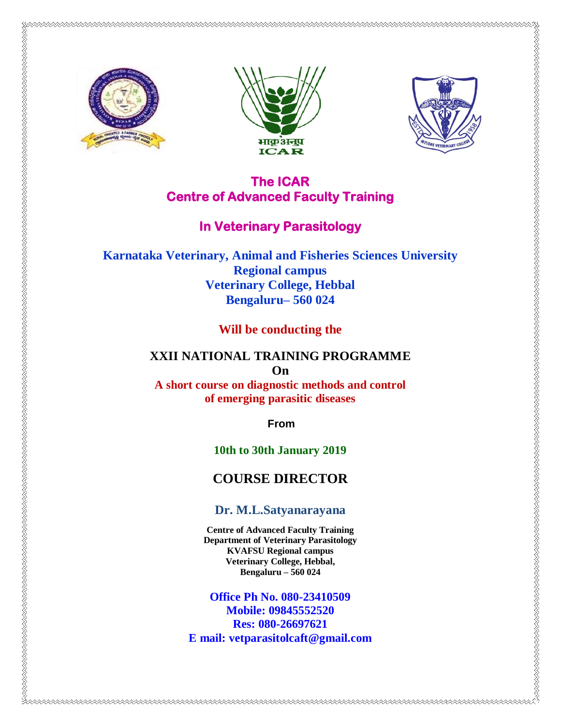





### **The ICAR Centre of Advanced Faculty Training**

# **In Veterinary Parasitology**

**Karnataka Veterinary, Animal and Fisheries Sciences University Regional campus Veterinary College, Hebbal Bengaluru– 560 024**

**Will be conducting the**

#### **XXII NATIONAL TRAINING PROGRAMME On**

**A short course on diagnostic methods and control of emerging parasitic diseases**

 *From* From **From** 

**10th to 30th January 2019**

# **COURSE DIRECTOR**

### **Dr. M.L.Satyanarayana**

**Centre of Advanced Faculty Training Department of Veterinary Parasitology KVAFSU Regional campus Veterinary College, Hebbal, Bengaluru – 560 024**

**Office Ph No. 080-23410509 Mobile: 09845552520 Res: 080-26697621 E mail: vetparasitolcaft@gmail.com**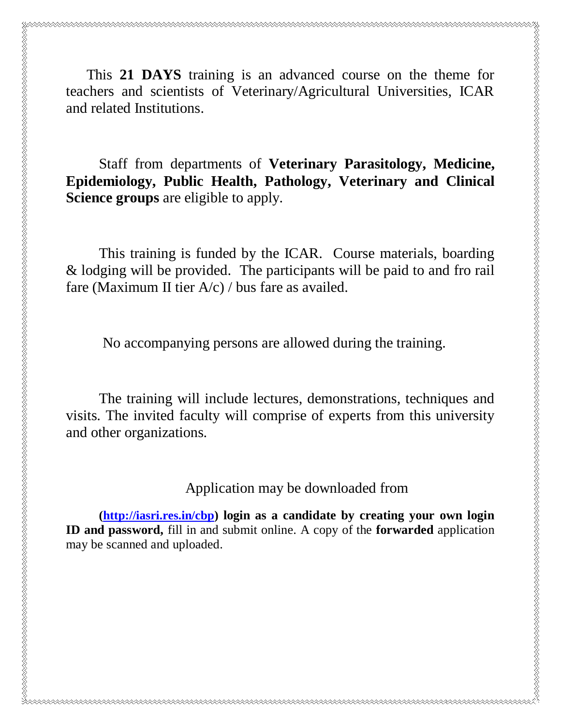This **21 DAYS** training is an advanced course on the theme for teachers and scientists of Veterinary/Agricultural Universities, ICAR and related Institutions.

Staff from departments of **Veterinary Parasitology, Medicine, Epidemiology, Public Health, Pathology, Veterinary and Clinical Science groups** are eligible to apply.

This training is funded by the ICAR. Course materials, boarding & lodging will be provided. The participants will be paid to and fro rail fare (Maximum II tier  $A/c$ ) / bus fare as availed.

No accompanying persons are allowed during the training.

a se se de la compressional de la compressional de la compressional de la compressional de la compressional de<br>La compressional de la compressional de la compressional de la compressional de la compressional de la compress

The training will include lectures, demonstrations, techniques and visits. The invited faculty will comprise of experts from this university and other organizations.

Application may be downloaded from

**[\(http://iasri.res.in/cbp\)](http://iasri.res.in/cbp) login as a candidate by creating your own login ID and password,** fill in and submit online. A copy of the **forwarded** application may be scanned and uploaded.